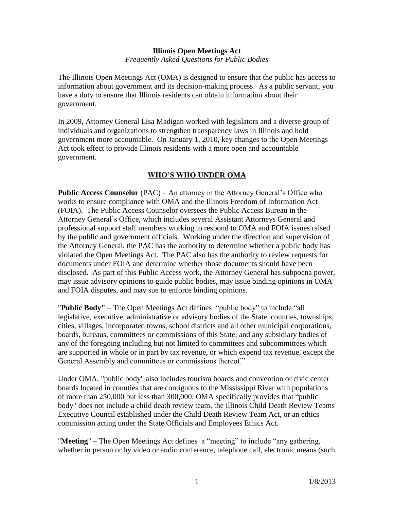### **Illinois Open Meetings Act** *Frequently Asked Questions for Public Bodies*

The Illinois Open Meetings Act (OMA) is designed to ensure that the public has access to information about government and its decision-making process. As a public servant, you have a duty to ensure that Illinois residents can obtain information about their government.

In 2009, Attorney General Lisa Madigan worked with legislators and a diverse group of individuals and organizations to strengthen transparency laws in Illinois and hold government more accountable. On January 1, 2010, key changes to the Open Meetings Act took effect to provide Illinois residents with a more open and accountable government.

## **WHO'S WHO UNDER OMA**

**Public Access Counselor** (PAC) – An attorney in the Attorney General's Office who works to ensure compliance with OMA and the Illinois Freedom of Information Act (FOIA). The Public Access Counselor oversees the Public Access Bureau in the Attorney General's Office, which includes several Assistant Attorneys General and professional support staff members working to respond to OMA and FOIA issues raised by the public and government officials. Working under the direction and supervision of the Attorney General, the PAC has the authority to determine whether a public body has violated the Open Meetings Act. The PAC also has the authority to review requests for documents under FOIA and determine whether those documents should have been disclosed. As part of this Public Access work, the Attorney General has subpoena power, may issue advisory opinions to guide public bodies, may issue binding opinions in OMA and FOIA disputes, and may sue to enforce binding opinions.

"**Public Body"** – The Open Meetings Act defines "public body" to include "all legislative, executive, administrative or advisory bodies of the State, counties, townships, cities, villages, incorporated towns, school districts and all other municipal corporations, boards, bureaus, committees or commissions of this State, and any subsidiary bodies of any of the foregoing including but not limited to committees and subcommittees which are supported in whole or in part by tax revenue, or which expend tax revenue, except the General Assembly and committees or commissions thereof."

Under OMA, "public body" also includes tourism boards and convention or civic center boards located in counties that are contiguous to the Mississippi River with populations of more than 250,000 but less than 300,000. OMA specifically provides that "public body" does not include a child death review team, the Illinois Child Death Review Teams Executive Council established under the Child Death Review Team Act, or an ethics commission acting under the State Officials and Employees Ethics Act.

"**Meeting**" – The Open Meetings Act defines a "meeting" to include "any gathering, whether in person or by video or audio conference, telephone call, electronic means (such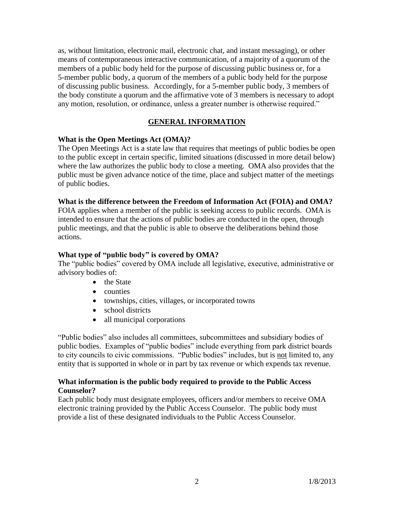as, without limitation, electronic mail, electronic chat, and instant messaging), or other means of contemporaneous interactive communication, of a majority of a quorum of the members of a public body held for the purpose of discussing public business or, for a 5-member public body, a quorum of the members of a public body held for the purpose of discussing public business. Accordingly, for a 5-member public body, 3 members of the body constitute a quorum and the affirmative vote of 3 members is necessary to adopt any motion, resolution, or ordinance, unless a greater number is otherwise required."

## **GENERAL INFORMATION**

### **What is the Open Meetings Act (OMA)?**

The Open Meetings Act is a state law that requires that meetings of public bodies be open to the public except in certain specific, limited situations (discussed in more detail below) where the law authorizes the public body to close a meeting. OMA also provides that the public must be given advance notice of the time, place and subject matter of the meetings of public bodies.

#### **What is the difference between the Freedom of Information Act (FOIA) and OMA?**

FOIA applies when a member of the public is seeking access to public records. OMA is intended to ensure that the actions of public bodies are conducted in the open, through public meetings, and that the public is able to observe the deliberations behind those actions.

### **What type of "public body" is covered by OMA?**

The "public bodies" covered by OMA include all legislative, executive, administrative or advisory bodies of:

- the State
- counties
- townships, cities, villages, or incorporated towns
- school districts
- all municipal corporations

"Public bodies" also includes all committees, subcommittees and subsidiary bodies of public bodies. Examples of "public bodies" include everything from park district boards to city councils to civic commissions. "Public bodies" includes, but is not limited to, any entity that is supported in whole or in part by tax revenue or which expends tax revenue.

### **What information is the public body required to provide to the Public Access Counselor?**

Each public body must designate employees, officers and/or members to receive OMA electronic training provided by the Public Access Counselor. The public body must provide a list of these designated individuals to the Public Access Counselor.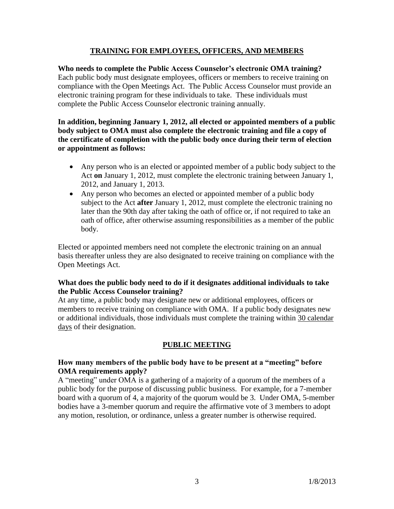## **TRAINING FOR EMPLOYEES, OFFICERS, AND MEMBERS**

**Who needs to complete the Public Access Counselor's electronic OMA training?**  Each public body must designate employees, officers or members to receive training on compliance with the Open Meetings Act. The Public Access Counselor must provide an electronic training program for these individuals to take. These individuals must complete the Public Access Counselor electronic training annually.

**In addition, beginning January 1, 2012, all elected or appointed members of a public body subject to OMA must also complete the electronic training and file a copy of the certificate of completion with the public body once during their term of election or appointment as follows:**

- Any person who is an elected or appointed member of a public body subject to the Act **on** January 1, 2012, must complete the electronic training between January 1, 2012, and January 1, 2013.
- Any person who becomes an elected or appointed member of a public body subject to the Act **after** January 1, 2012, must complete the electronic training no later than the 90th day after taking the oath of office or, if not required to take an oath of office, after otherwise assuming responsibilities as a member of the public body.

Elected or appointed members need not complete the electronic training on an annual basis thereafter unless they are also designated to receive training on compliance with the Open Meetings Act.

## **What does the public body need to do if it designates additional individuals to take the Public Access Counselor training?**

At any time, a public body may designate new or additional employees, officers or members to receive training on compliance with OMA. If a public body designates new or additional individuals, those individuals must complete the training within 30 calendar days of their designation.

## **PUBLIC MEETING**

### **How many members of the public body have to be present at a "meeting" before OMA requirements apply?**

A "meeting" under OMA is a gathering of a majority of a quorum of the members of a public body for the purpose of discussing public business. For example, for a 7-member board with a quorum of 4, a majority of the quorum would be 3. Under OMA, 5-member bodies have a 3-member quorum and require the affirmative vote of 3 members to adopt any motion, resolution, or ordinance, unless a greater number is otherwise required.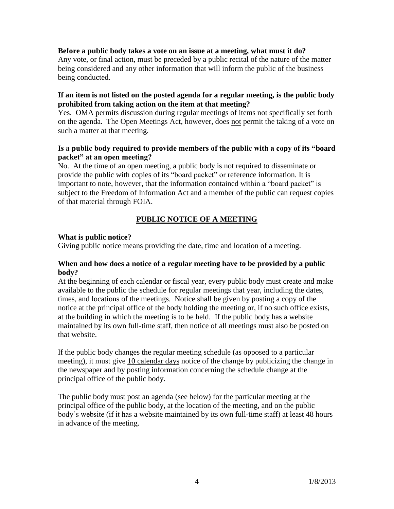#### **Before a public body takes a vote on an issue at a meeting, what must it do?**

Any vote, or final action, must be preceded by a public recital of the nature of the matter being considered and any other information that will inform the public of the business being conducted.

#### **If an item is not listed on the posted agenda for a regular meeting, is the public body prohibited from taking action on the item at that meeting?**

Yes. OMA permits discussion during regular meetings of items not specifically set forth on the agenda. The Open Meetings Act, however, does not permit the taking of a vote on such a matter at that meeting.

#### **Is a public body required to provide members of the public with a copy of its "board packet" at an open meeting?**

No. At the time of an open meeting, a public body is not required to disseminate or provide the public with copies of its "board packet" or reference information. It is important to note, however, that the information contained within a "board packet" is subject to the Freedom of Information Act and a member of the public can request copies of that material through FOIA.

# **PUBLIC NOTICE OF A MEETING**

### **What is public notice?**

Giving public notice means providing the date, time and location of a meeting.

#### **When and how does a notice of a regular meeting have to be provided by a public body?**

At the beginning of each calendar or fiscal year, every public body must create and make available to the public the schedule for regular meetings that year, including the dates, times, and locations of the meetings. Notice shall be given by posting a copy of the notice at the principal office of the body holding the meeting or, if no such office exists, at the building in which the meeting is to be held. If the public body has a website maintained by its own full-time staff, then notice of all meetings must also be posted on that website.

If the public body changes the regular meeting schedule (as opposed to a particular meeting), it must give 10 calendar days notice of the change by publicizing the change in the newspaper and by posting information concerning the schedule change at the principal office of the public body.

The public body must post an agenda (see below) for the particular meeting at the principal office of the public body, at the location of the meeting, and on the public body's website (if it has a website maintained by its own full-time staff) at least 48 hours in advance of the meeting.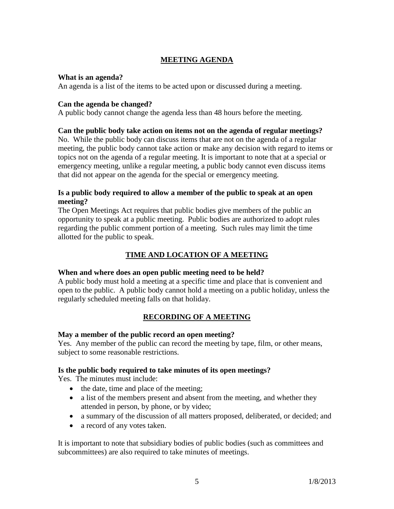# **MEETING AGENDA**

#### **What is an agenda?**

An agenda is a list of the items to be acted upon or discussed during a meeting.

## **Can the agenda be changed?**

A public body cannot change the agenda less than 48 hours before the meeting.

## **Can the public body take action on items not on the agenda of regular meetings?**

No. While the public body can discuss items that are not on the agenda of a regular meeting, the public body cannot take action or make any decision with regard to items or topics not on the agenda of a regular meeting. It is important to note that at a special or emergency meeting, unlike a regular meeting, a public body cannot even discuss items that did not appear on the agenda for the special or emergency meeting.

## **Is a public body required to allow a member of the public to speak at an open meeting?**

The Open Meetings Act requires that public bodies give members of the public an opportunity to speak at a public meeting. Public bodies are authorized to adopt rules regarding the public comment portion of a meeting. Such rules may limit the time allotted for the public to speak.

# **TIME AND LOCATION OF A MEETING**

## **When and where does an open public meeting need to be held?**

A public body must hold a meeting at a specific time and place that is convenient and open to the public. A public body cannot hold a meeting on a public holiday, unless the regularly scheduled meeting falls on that holiday.

## **RECORDING OF A MEETING**

## **May a member of the public record an open meeting?**

Yes. Any member of the public can record the meeting by tape, film, or other means, subject to some reasonable restrictions.

## **Is the public body required to take minutes of its open meetings?**

Yes. The minutes must include:

- the date, time and place of the meeting;
- a list of the members present and absent from the meeting, and whether they attended in person, by phone, or by video;
- a summary of the discussion of all matters proposed, deliberated, or decided; and
- a record of any votes taken.

It is important to note that subsidiary bodies of public bodies (such as committees and subcommittees) are also required to take minutes of meetings.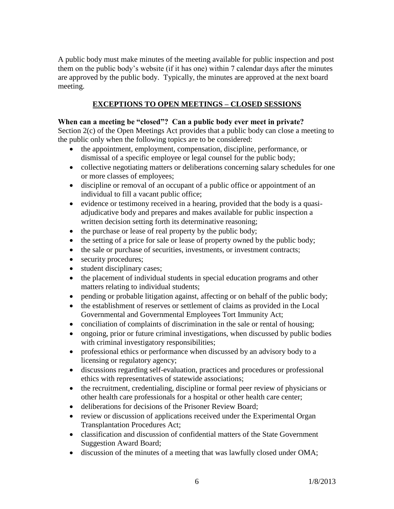A public body must make minutes of the meeting available for public inspection and post them on the public body's website (if it has one) within 7 calendar days after the minutes are approved by the public body. Typically, the minutes are approved at the next board meeting.

## **EXCEPTIONS TO OPEN MEETINGS – CLOSED SESSIONS**

### **When can a meeting be "closed"? Can a public body ever meet in private?**

Section 2(c) of the Open Meetings Act provides that a public body can close a meeting to the public only when the following topics are to be considered:

- the appointment, employment, compensation, discipline, performance, or dismissal of a specific employee or legal counsel for the public body;
- collective negotiating matters or deliberations concerning salary schedules for one or more classes of employees;
- discipline or removal of an occupant of a public office or appointment of an individual to fill a vacant public office;
- evidence or testimony received in a hearing, provided that the body is a quasiadjudicative body and prepares and makes available for public inspection a written decision setting forth its determinative reasoning;
- the purchase or lease of real property by the public body;
- the setting of a price for sale or lease of property owned by the public body;
- the sale or purchase of securities, investments, or investment contracts;
- security procedures;
- student disciplinary cases;
- the placement of individual students in special education programs and other matters relating to individual students;
- pending or probable litigation against, affecting or on behalf of the public body;
- the establishment of reserves or settlement of claims as provided in the Local Governmental and Governmental Employees Tort Immunity Act;
- conciliation of complaints of discrimination in the sale or rental of housing;
- ongoing, prior or future criminal investigations, when discussed by public bodies with criminal investigatory responsibilities;
- professional ethics or performance when discussed by an advisory body to a licensing or regulatory agency;
- discussions regarding self-evaluation, practices and procedures or professional ethics with representatives of statewide associations;
- the recruitment, credentialing, discipline or formal peer review of physicians or other health care professionals for a hospital or other health care center;
- deliberations for decisions of the Prisoner Review Board;
- review or discussion of applications received under the Experimental Organ Transplantation Procedures Act;
- classification and discussion of confidential matters of the State Government Suggestion Award Board;
- discussion of the minutes of a meeting that was lawfully closed under OMA;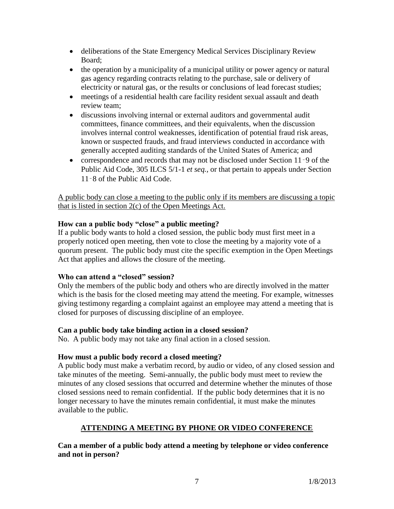- deliberations of the State Emergency Medical Services Disciplinary Review Board;
- the operation by a municipality of a municipal utility or power agency or natural gas agency regarding contracts relating to the purchase, sale or delivery of electricity or natural gas, or the results or conclusions of lead forecast studies;
- meetings of a residential health care facility resident sexual assault and death review team;
- discussions involving internal or external auditors and governmental audit committees, finance committees, and their equivalents, when the discussion involves internal control weaknesses, identification of potential fraud risk areas, known or suspected frauds, and fraud interviews conducted in accordance with generally accepted auditing standards of the United States of America; and
- correspondence and records that may not be disclosed under Section 11‑9 of the Public Aid Code, 305 ILCS 5/1-1 *et seq.,* or that pertain to appeals under Section 11‑8 of the Public Aid Code.

A public body can close a meeting to the public only if its members are discussing a topic that is listed in section 2(c) of the Open Meetings Act.

## **How can a public body "close" a public meeting?**

If a public body wants to hold a closed session, the public body must first meet in a properly noticed open meeting, then vote to close the meeting by a majority vote of a quorum present. The public body must cite the specific exemption in the Open Meetings Act that applies and allows the closure of the meeting.

## **Who can attend a "closed" session?**

Only the members of the public body and others who are directly involved in the matter which is the basis for the closed meeting may attend the meeting. For example, witnesses giving testimony regarding a complaint against an employee may attend a meeting that is closed for purposes of discussing discipline of an employee.

## **Can a public body take binding action in a closed session?**

No. A public body may not take any final action in a closed session.

## **How must a public body record a closed meeting?**

A public body must make a verbatim record, by audio or video, of any closed session and take minutes of the meeting. Semi-annually, the public body must meet to review the minutes of any closed sessions that occurred and determine whether the minutes of those closed sessions need to remain confidential. If the public body determines that it is no longer necessary to have the minutes remain confidential, it must make the minutes available to the public.

## **ATTENDING A MEETING BY PHONE OR VIDEO CONFERENCE**

**Can a member of a public body attend a meeting by telephone or video conference and not in person?**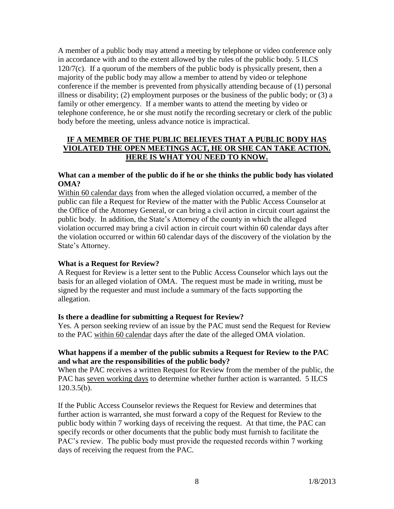A member of a public body may attend a meeting by telephone or video conference only in accordance with and to the extent allowed by the rules of the public body. 5 ILCS  $120/7(c)$ . If a quorum of the members of the public body is physically present, then a majority of the public body may allow a member to attend by video or telephone conference if the member is prevented from physically attending because of (1) personal illness or disability; (2) employment purposes or the business of the public body; or (3) a family or other emergency. If a member wants to attend the meeting by video or telephone conference, he or she must notify the recording secretary or clerk of the public body before the meeting, unless advance notice is impractical.

## **IF A MEMBER OF THE PUBLIC BELIEVES THAT A PUBLIC BODY HAS VIOLATED THE OPEN MEETINGS ACT, HE OR SHE CAN TAKE ACTION. HERE IS WHAT YOU NEED TO KNOW.**

### **What can a member of the public do if he or she thinks the public body has violated OMA?**

Within 60 calendar days from when the alleged violation occurred, a member of the public can file a Request for Review of the matter with the Public Access Counselor at the Office of the Attorney General, or can bring a civil action in circuit court against the public body. In addition, the State's Attorney of the county in which the alleged violation occurred may bring a civil action in circuit court within 60 calendar days after the violation occurred or within 60 calendar days of the discovery of the violation by the State's Attorney.

## **What is a Request for Review?**

A Request for Review is a letter sent to the Public Access Counselor which lays out the basis for an alleged violation of OMA. The request must be made in writing, must be signed by the requester and must include a summary of the facts supporting the allegation.

#### **Is there a deadline for submitting a Request for Review?**

Yes. A person seeking review of an issue by the PAC must send the Request for Review to the PAC within 60 calendar days after the date of the alleged OMA violation.

### **What happens if a member of the public submits a Request for Review to the PAC and what are the responsibilities of the public body?**

When the PAC receives a written Request for Review from the member of the public, the PAC has seven working days to determine whether further action is warranted. 5 ILCS 120.3.5(b).

If the Public Access Counselor reviews the Request for Review and determines that further action is warranted, she must forward a copy of the Request for Review to the public body within 7 working days of receiving the request. At that time, the PAC can specify records or other documents that the public body must furnish to facilitate the PAC's review. The public body must provide the requested records within 7 working days of receiving the request from the PAC.